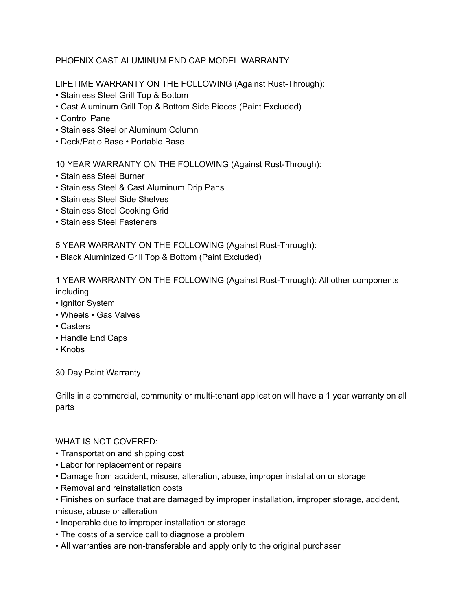## PHOENIX CAST ALUMINUM END CAP MODEL WARRANTY

LIFETIME WARRANTY ON THE FOLLOWING (Against Rust-Through):

- Stainless Steel Grill Top & Bottom
- Cast Aluminum Grill Top & Bottom Side Pieces (Paint Excluded)
- Control Panel
- Stainless Steel or Aluminum Column
- Deck/Patio Base Portable Base

10 YEAR WARRANTY ON THE FOLLOWING (Against Rust-Through):

- Stainless Steel Burner
- Stainless Steel & Cast Aluminum Drip Pans
- Stainless Steel Side Shelves
- Stainless Steel Cooking Grid
- Stainless Steel Fasteners

5 YEAR WARRANTY ON THE FOLLOWING (Against Rust-Through):

• Black Aluminized Grill Top & Bottom (Paint Excluded)

1 YEAR WARRANTY ON THE FOLLOWING (Against Rust-Through): All other components including

- Ignitor System
- Wheels Gas Valves
- Casters
- Handle End Caps
- Knobs

30 Day Paint Warranty

Grills in a commercial, community or multi-tenant application will have a 1 year warranty on all parts

## WHAT IS NOT COVERED:

- Transportation and shipping cost
- Labor for replacement or repairs
- Damage from accident, misuse, alteration, abuse, improper installation or storage
- Removal and reinstallation costs
- Finishes on surface that are damaged by improper installation, improper storage, accident, misuse, abuse or alteration
- Inoperable due to improper installation or storage
- The costs of a service call to diagnose a problem
- All warranties are non-transferable and apply only to the original purchaser